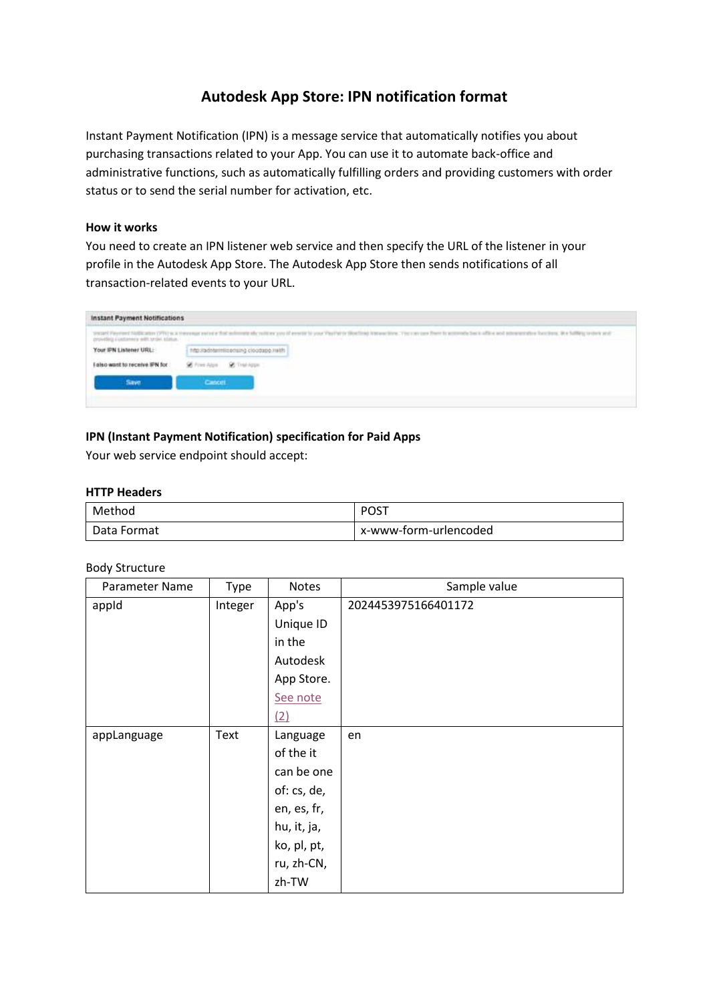# **Autodesk App Store: IPN notification format**

Instant Payment Notification (IPN) is a message service that automatically notifies you about purchasing transactions related to your App. You can use it to automate back-office and administrative functions, such as automatically fulfilling orders and providing customers with order status or to send the serial number for activation, etc.

### **How it works**

You need to create an IPN listener web service and then specify the URL of the listener in your profile in the Autodesk App Store. The Autodesk App Store then sends notifications of all transaction-related events to your URL.

| Instant Payment Notifications<br>the first product of the first product and the product of the control of the control of the control of the control of the control of the control of the control of the control of the control of the control of the control of |                                                                                                                                                                                                               |
|-----------------------------------------------------------------------------------------------------------------------------------------------------------------------------------------------------------------------------------------------------------------|---------------------------------------------------------------------------------------------------------------------------------------------------------------------------------------------------------------|
|                                                                                                                                                                                                                                                                 | OLI KALENDARISTA OLI LIITA KONSTANTIIN KONSTANTIIN VALTAA KONSTANTIIN KONSTANTAATIO OLI LIITTOVA KUU<br>그 그 동안 아니냐 한 사람이 안 그러나요? 그 아이가 어려운 아이가 어려운 것이 아니라 그 그러나 아이에 있다.<br>applicate printers and the control |
| and the control of the control of the control of the control of the control of the control of the control of the                                                                                                                                                |                                                                                                                                                                                                               |
|                                                                                                                                                                                                                                                                 |                                                                                                                                                                                                               |
|                                                                                                                                                                                                                                                                 |                                                                                                                                                                                                               |

# **IPN (Instant Payment Notification) specification for Paid Apps**

Your web service endpoint should accept:

### **HTTP Headers**

| Method      | ⊤ס∩מ<br>ັບບ           |
|-------------|-----------------------|
| Data Format | x-www-form-urlencoded |

#### Body Structure

| Parameter Name | Type    | Notes       | Sample value        |
|----------------|---------|-------------|---------------------|
| appid          | Integer | App's       | 2024453975166401172 |
|                |         | Unique ID   |                     |
|                |         | in the      |                     |
|                |         | Autodesk    |                     |
|                |         | App Store.  |                     |
|                |         | See note    |                     |
|                |         | (2)         |                     |
| appLanguage    | Text    | Language    | en                  |
|                |         | of the it   |                     |
|                |         | can be one  |                     |
|                |         | of: cs, de, |                     |
|                |         | en, es, fr, |                     |
|                |         | hu, it, ja, |                     |
|                |         | ko, pl, pt, |                     |
|                |         | ru, zh-CN,  |                     |
|                |         | zh-TW       |                     |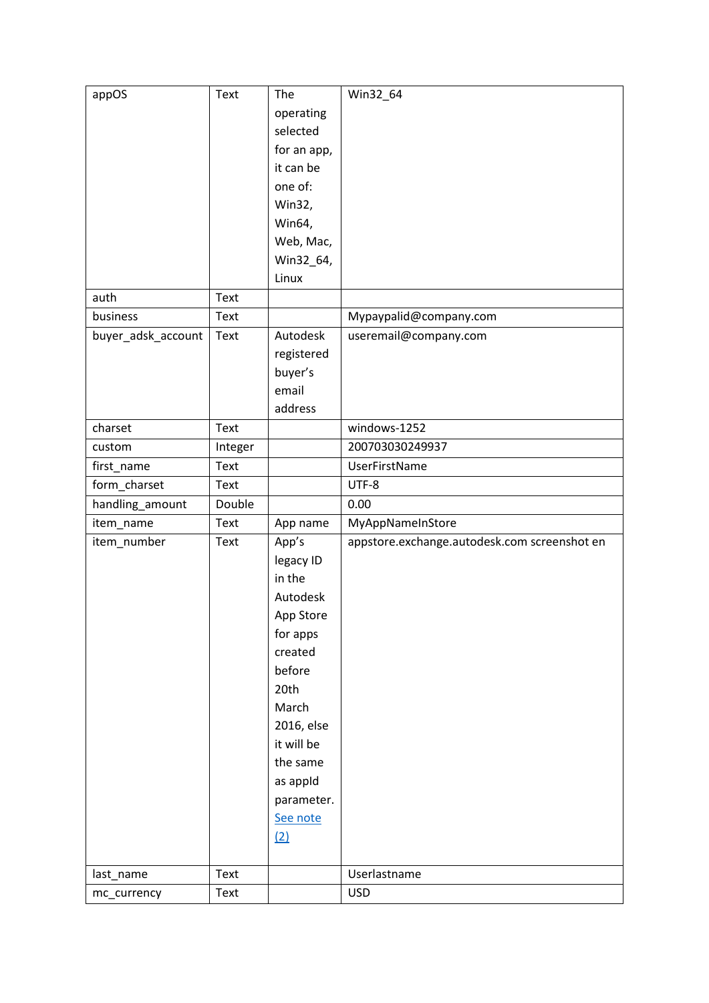| appOS              | Text    | The         | Win32_64                                     |
|--------------------|---------|-------------|----------------------------------------------|
|                    |         | operating   |                                              |
|                    |         | selected    |                                              |
|                    |         | for an app, |                                              |
|                    |         | it can be   |                                              |
|                    |         | one of:     |                                              |
|                    |         | Win32,      |                                              |
|                    |         | Win64,      |                                              |
|                    |         | Web, Mac,   |                                              |
|                    |         | Win32_64,   |                                              |
|                    |         | Linux       |                                              |
| auth               | Text    |             |                                              |
| business           | Text    |             | Mypaypalid@company.com                       |
| buyer_adsk_account | Text    | Autodesk    | useremail@company.com                        |
|                    |         | registered  |                                              |
|                    |         | buyer's     |                                              |
|                    |         | email       |                                              |
|                    |         | address     |                                              |
| charset            | Text    |             | windows-1252                                 |
| custom             | Integer |             | 200703030249937                              |
| first_name         | Text    |             | <b>UserFirstName</b>                         |
| form_charset       | Text    |             | UTF-8                                        |
| handling_amount    | Double  |             | 0.00                                         |
| item_name          | Text    | App name    | MyAppNameInStore                             |
| item_number        | Text    | App's       | appstore.exchange.autodesk.com screenshot en |
|                    |         | legacy ID   |                                              |
|                    |         | in the      |                                              |
|                    |         | Autodesk    |                                              |
|                    |         | App Store   |                                              |
|                    |         | for apps    |                                              |
|                    |         | created     |                                              |
|                    |         | before      |                                              |
|                    |         | 20th        |                                              |
|                    |         | March       |                                              |
|                    |         | 2016, else  |                                              |
|                    |         | it will be  |                                              |
|                    |         | the same    |                                              |
|                    |         | as appld    |                                              |
|                    |         | parameter.  |                                              |
|                    |         | See note    |                                              |
|                    |         | (2)         |                                              |
|                    |         |             |                                              |
| last_name          | Text    |             | Userlastname                                 |
| mc_currency        | Text    |             | <b>USD</b>                                   |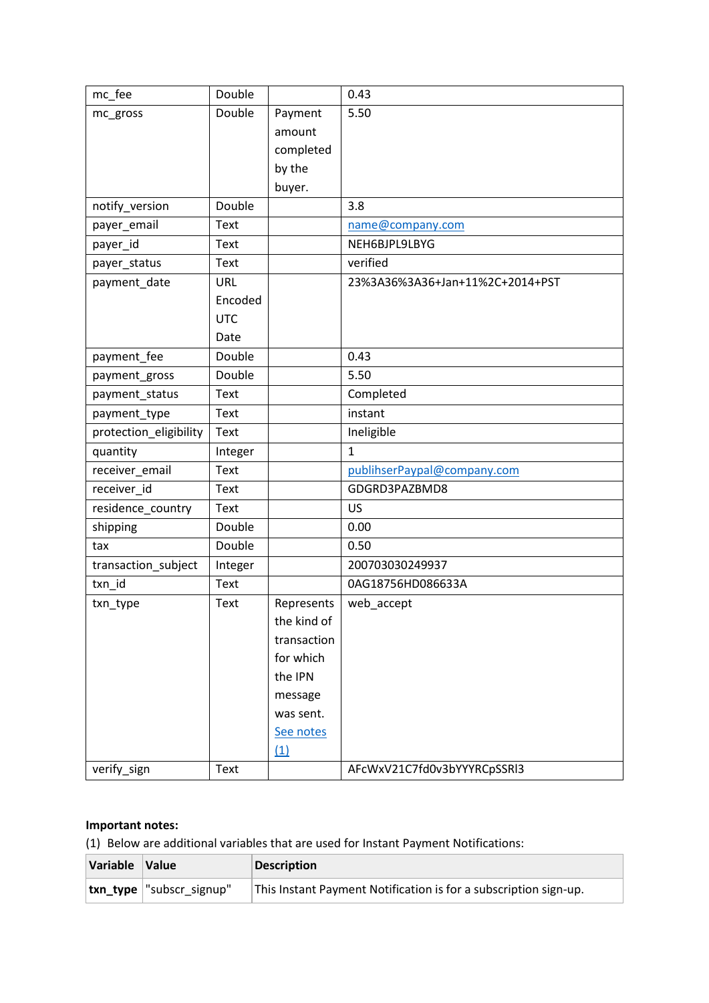| mc_fee                 | Double     |             | 0.43                            |
|------------------------|------------|-------------|---------------------------------|
| mc_gross               | Double     | Payment     | 5.50                            |
|                        |            | amount      |                                 |
|                        |            | completed   |                                 |
|                        |            | by the      |                                 |
|                        |            | buyer.      |                                 |
| notify_version         | Double     |             | 3.8                             |
| payer_email            | Text       |             | name@company.com                |
| payer_id               | Text       |             | NEH6BJPL9LBYG                   |
| payer_status           | Text       |             | verified                        |
| payment_date           | URL        |             | 23%3A36%3A36+Jan+11%2C+2014+PST |
|                        | Encoded    |             |                                 |
|                        | <b>UTC</b> |             |                                 |
|                        | Date       |             |                                 |
| payment_fee            | Double     |             | 0.43                            |
| payment_gross          | Double     |             | 5.50                            |
| payment status         | Text       |             | Completed                       |
| payment_type           | Text       |             | instant                         |
| protection_eligibility | Text       |             | Ineligible                      |
| quantity               | Integer    |             | $\mathbf{1}$                    |
| receiver_email         | Text       |             | publihserPaypal@company.com     |
| receiver_id            | Text       |             | GDGRD3PAZBMD8                   |
| residence_country      | Text       |             | US                              |
| shipping               | Double     |             | 0.00                            |
| tax                    | Double     |             | 0.50                            |
| transaction_subject    | Integer    |             | 200703030249937                 |
| txn id                 | Text       |             | 0AG18756HD086633A               |
| txn_type               | Text       | Represents  | web_accept                      |
|                        |            | the kind of |                                 |
|                        |            | transaction |                                 |
|                        |            | for which   |                                 |
|                        |            | the IPN     |                                 |
|                        |            | message     |                                 |
|                        |            | was sent.   |                                 |
|                        |            | See notes   |                                 |
|                        |            | (1)         |                                 |
| verify_sign            | Text       |             | AFcWxV21C7fd0v3bYYYRCpSSRI3     |

# **Important notes:**

<span id="page-2-0"></span>(1) Below are additional variables that are used for Instant Payment Notifications:

| Variable Value |                           | <b>Description</b>                                               |
|----------------|---------------------------|------------------------------------------------------------------|
|                | txn_type  "subscr_signup" | This Instant Payment Notification is for a subscription sign-up. |